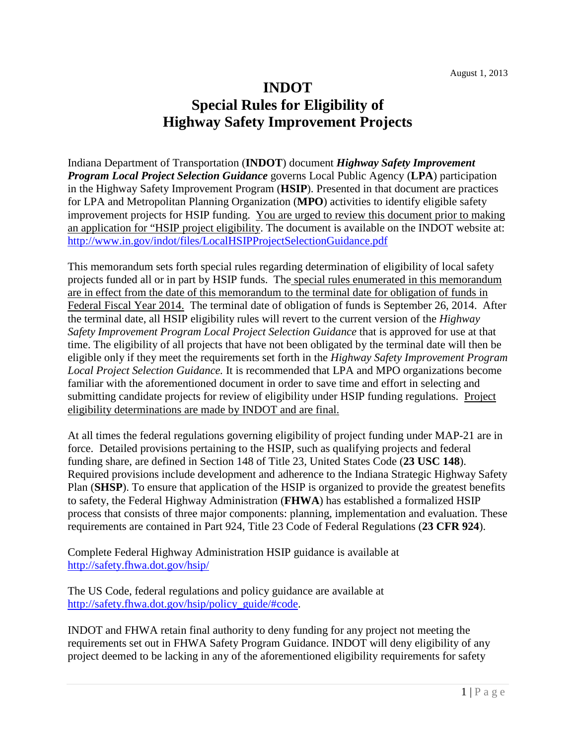# **INDOT Special Rules for Eligibility of Highway Safety Improvement Projects**

Indiana Department of Transportation (**INDOT**) document *Highway Safety Improvement Program Local Project Selection Guidance* governs Local Public Agency (**LPA**) participation in the Highway Safety Improvement Program (**HSIP**). Presented in that document are practices for LPA and Metropolitan Planning Organization (**MPO**) activities to identify eligible safety improvement projects for HSIP funding. You are urged to review this document prior to making an application for "HSIP project eligibility. The document is available on the INDOT website at: <http://www.in.gov/indot/files/LocalHSIPProjectSelectionGuidance.pdf>

This memorandum sets forth special rules regarding determination of eligibility of local safety projects funded all or in part by HSIP funds. The special rules enumerated in this memorandum are in effect from the date of this memorandum to the terminal date for obligation of funds in Federal Fiscal Year 2014. The terminal date of obligation of funds is September 26, 2014. After the terminal date, all HSIP eligibility rules will revert to the current version of the *Highway Safety Improvement Program Local Project Selection Guidance* that is approved for use at that time. The eligibility of all projects that have not been obligated by the terminal date will then be eligible only if they meet the requirements set forth in the *Highway Safety Improvement Program Local Project Selection Guidance.* It is recommended that LPA and MPO organizations become familiar with the aforementioned document in order to save time and effort in selecting and submitting candidate projects for review of eligibility under HSIP funding regulations. Project eligibility determinations are made by INDOT and are final.

At all times the federal regulations governing eligibility of project funding under MAP-21 are in force. Detailed provisions pertaining to the HSIP, such as qualifying projects and federal funding share, are defined in Section 148 of Title 23, United States Code (**23 USC 148**). Required provisions include development and adherence to the Indiana Strategic Highway Safety Plan (**SHSP**). To ensure that application of the HSIP is organized to provide the greatest benefits to safety, the Federal Highway Administration (**FHWA**) has established a formalized HSIP process that consists of three major components: planning, implementation and evaluation. These requirements are contained in Part 924, Title 23 Code of Federal Regulations (**23 CFR 924**).

Complete Federal Highway Administration HSIP guidance is available at <http://safety.fhwa.dot.gov/hsip/>

The US Code, federal regulations and policy guidance are available at [http://safety.fhwa.dot.gov/hsip/policy\\_guide/#code.](http://safety.fhwa.dot.gov/hsip/policy_guide/#code)

INDOT and FHWA retain final authority to deny funding for any project not meeting the requirements set out in FHWA Safety Program Guidance. INDOT will deny eligibility of any project deemed to be lacking in any of the aforementioned eligibility requirements for safety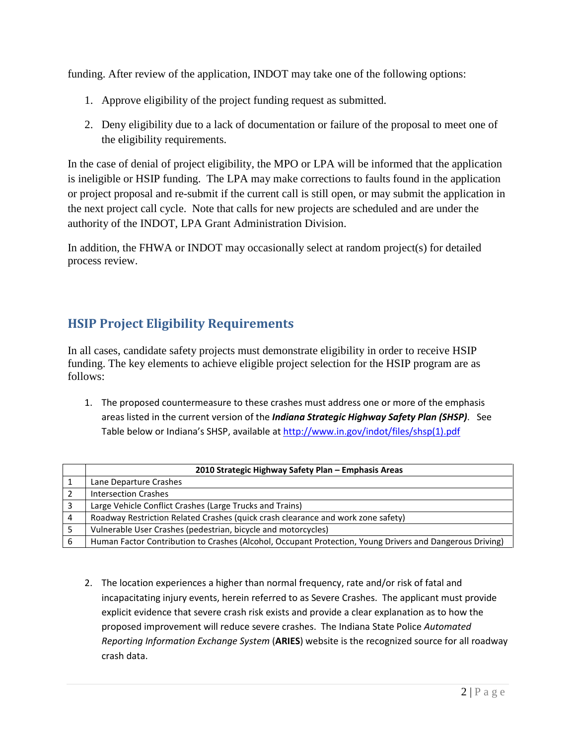funding. After review of the application, INDOT may take one of the following options:

- 1. Approve eligibility of the project funding request as submitted.
- 2. Deny eligibility due to a lack of documentation or failure of the proposal to meet one of the eligibility requirements.

In the case of denial of project eligibility, the MPO or LPA will be informed that the application is ineligible or HSIP funding. The LPA may make corrections to faults found in the application or project proposal and re-submit if the current call is still open, or may submit the application in the next project call cycle. Note that calls for new projects are scheduled and are under the authority of the INDOT, LPA Grant Administration Division.

In addition, the FHWA or INDOT may occasionally select at random project(s) for detailed process review.

## **HSIP Project Eligibility Requirements**

In all cases, candidate safety projects must demonstrate eligibility in order to receive HSIP funding. The key elements to achieve eligible project selection for the HSIP program are as follows:

1. The proposed countermeasure to these crashes must address one or more of the emphasis areas listed in the current version of the *Indiana Strategic Highway Safety Plan (SHSP)*. See Table below or Indiana's SHSP, available at [http://www.in.gov/indot/files/shsp\(1\).pdf](http://www.in.gov/indot/files/shsp(1).pdf)

|   | 2010 Strategic Highway Safety Plan - Emphasis Areas                                                      |
|---|----------------------------------------------------------------------------------------------------------|
|   | Lane Departure Crashes                                                                                   |
|   | <b>Intersection Crashes</b>                                                                              |
|   | Large Vehicle Conflict Crashes (Large Trucks and Trains)                                                 |
| 4 | Roadway Restriction Related Crashes (quick crash clearance and work zone safety)                         |
|   | Vulnerable User Crashes (pedestrian, bicycle and motorcycles)                                            |
|   | Human Factor Contribution to Crashes (Alcohol, Occupant Protection, Young Drivers and Dangerous Driving) |

2. The location experiences a higher than normal frequency, rate and/or risk of fatal and incapacitating injury events, herein referred to as Severe Crashes. The applicant must provide explicit evidence that severe crash risk exists and provide a clear explanation as to how the proposed improvement will reduce severe crashes. The Indiana State Police *Automated Reporting Information Exchange System* (**ARIES**) website is the recognized source for all roadway crash data.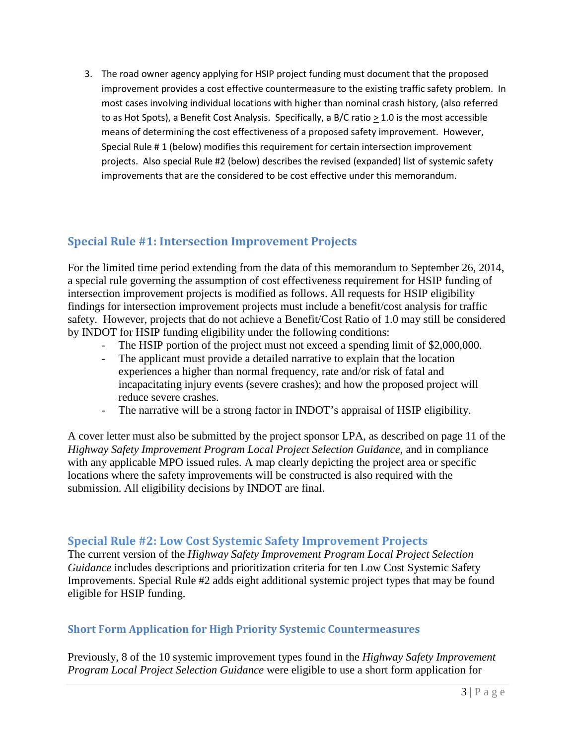3. The road owner agency applying for HSIP project funding must document that the proposed improvement provides a cost effective countermeasure to the existing traffic safety problem. In most cases involving individual locations with higher than nominal crash history, (also referred to as Hot Spots), a Benefit Cost Analysis. Specifically, a B/C ratio  $\geq 1.0$  is the most accessible means of determining the cost effectiveness of a proposed safety improvement. However, Special Rule # 1 (below) modifies this requirement for certain intersection improvement projects. Also special Rule #2 (below) describes the revised (expanded) list of systemic safety improvements that are the considered to be cost effective under this memorandum.

## **Special Rule #1: Intersection Improvement Projects**

For the limited time period extending from the data of this memorandum to September 26, 2014, a special rule governing the assumption of cost effectiveness requirement for HSIP funding of intersection improvement projects is modified as follows. All requests for HSIP eligibility findings for intersection improvement projects must include a benefit/cost analysis for traffic safety. However, projects that do not achieve a Benefit/Cost Ratio of 1.0 may still be considered by INDOT for HSIP funding eligibility under the following conditions:

- The HSIP portion of the project must not exceed a spending limit of \$2,000,000.
- The applicant must provide a detailed narrative to explain that the location experiences a higher than normal frequency, rate and/or risk of fatal and incapacitating injury events (severe crashes); and how the proposed project will reduce severe crashes.
- The narrative will be a strong factor in INDOT's appraisal of HSIP eligibility.

A cover letter must also be submitted by the project sponsor LPA, as described on page 11 of the *Highway Safety Improvement Program Local Project Selection Guidance,* and in compliance with any applicable MPO issued rules. A map clearly depicting the project area or specific locations where the safety improvements will be constructed is also required with the submission. All eligibility decisions by INDOT are final.

#### **Special Rule #2: Low Cost Systemic Safety Improvement Projects**

The current version of the *Highway Safety Improvement Program Local Project Selection Guidance* includes descriptions and prioritization criteria for ten Low Cost Systemic Safety Improvements. Special Rule #2 adds eight additional systemic project types that may be found eligible for HSIP funding.

## **Short Form Application for High Priority Systemic Countermeasures**

Previously, 8 of the 10 systemic improvement types found in the *Highway Safety Improvement Program Local Project Selection Guidance* were eligible to use a short form application for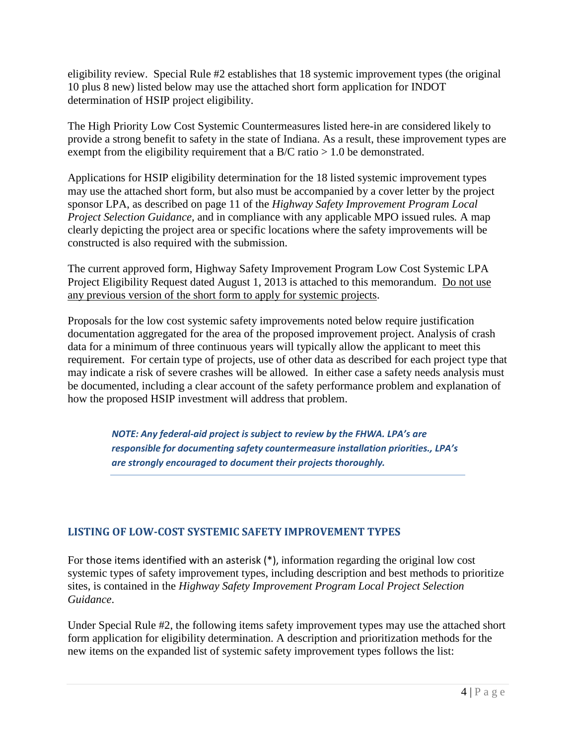eligibility review. Special Rule #2 establishes that 18 systemic improvement types (the original 10 plus 8 new) listed below may use the attached short form application for INDOT determination of HSIP project eligibility.

The High Priority Low Cost Systemic Countermeasures listed here-in are considered likely to provide a strong benefit to safety in the state of Indiana. As a result, these improvement types are exempt from the eligibility requirement that a  $B/C$  ratio  $> 1.0$  be demonstrated.

Applications for HSIP eligibility determination for the 18 listed systemic improvement types may use the attached short form, but also must be accompanied by a cover letter by the project sponsor LPA, as described on page 11 of the *Highway Safety Improvement Program Local Project Selection Guidance,* and in compliance with any applicable MPO issued rules*.* A map clearly depicting the project area or specific locations where the safety improvements will be constructed is also required with the submission.

The current approved form, Highway Safety Improvement Program Low Cost Systemic LPA Project Eligibility Request dated August 1, 2013 is attached to this memorandum. Do not use any previous version of the short form to apply for systemic projects.

Proposals for the low cost systemic safety improvements noted below require justification documentation aggregated for the area of the proposed improvement project. Analysis of crash data for a minimum of three continuous years will typically allow the applicant to meet this requirement. For certain type of projects, use of other data as described for each project type that may indicate a risk of severe crashes will be allowed. In either case a safety needs analysis must be documented, including a clear account of the safety performance problem and explanation of how the proposed HSIP investment will address that problem.

> *NOTE: Any federal-aid project is subject to review by the FHWA. LPA's are responsible for documenting safety countermeasure installation priorities., LPA's are strongly encouraged to document their projects thoroughly.*

## **LISTING OF LOW-COST SYSTEMIC SAFETY IMPROVEMENT TYPES**

For those items identified with an asterisk (\*), information regarding the original low cost systemic types of safety improvement types, including description and best methods to prioritize sites, is contained in the *Highway Safety Improvement Program Local Project Selection Guidance*.

Under Special Rule #2, the following items safety improvement types may use the attached short form application for eligibility determination. A description and prioritization methods for the new items on the expanded list of systemic safety improvement types follows the list: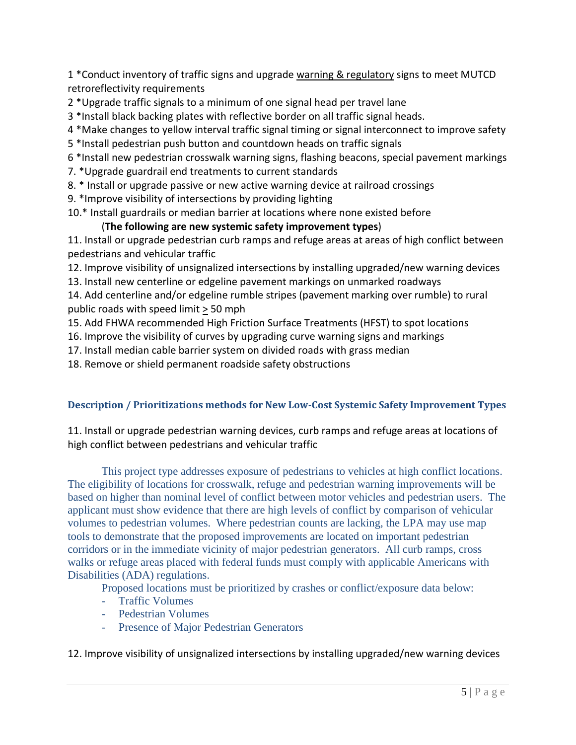1 \*Conduct inventory of traffic signs and upgrade warning & regulatory signs to meet MUTCD retroreflectivity requirements

2 \*Upgrade traffic signals to a minimum of one signal head per travel lane

3 \*Install black backing plates with reflective border on all traffic signal heads.

- 4 \*Make changes to yellow interval traffic signal timing or signal interconnect to improve safety
- 5 \*Install pedestrian push button and countdown heads on traffic signals

6 \*Install new pedestrian crosswalk warning signs, flashing beacons, special pavement markings

- 7. \*Upgrade guardrail end treatments to current standards
- 8. \* Install or upgrade passive or new active warning device at railroad crossings
- 9. \*Improve visibility of intersections by providing lighting

10.\* Install guardrails or median barrier at locations where none existed before

#### (**The following are new systemic safety improvement types**)

11. Install or upgrade pedestrian curb ramps and refuge areas at areas of high conflict between pedestrians and vehicular traffic

12. Improve visibility of unsignalized intersections by installing upgraded/new warning devices

13. Install new centerline or edgeline pavement markings on unmarked roadways

14. Add centerline and/or edgeline rumble stripes (pavement marking over rumble) to rural public roads with speed limit > 50 mph

15. Add FHWA recommended High Friction Surface Treatments (HFST) to spot locations

16. Improve the visibility of curves by upgrading curve warning signs and markings

17. Install median cable barrier system on divided roads with grass median

18. Remove or shield permanent roadside safety obstructions

#### **Description / Prioritizations methods for New Low-Cost Systemic Safety Improvement Types**

11. Install or upgrade pedestrian warning devices, curb ramps and refuge areas at locations of high conflict between pedestrians and vehicular traffic

This project type addresses exposure of pedestrians to vehicles at high conflict locations. The eligibility of locations for crosswalk, refuge and pedestrian warning improvements will be based on higher than nominal level of conflict between motor vehicles and pedestrian users. The applicant must show evidence that there are high levels of conflict by comparison of vehicular volumes to pedestrian volumes. Where pedestrian counts are lacking, the LPA may use map tools to demonstrate that the proposed improvements are located on important pedestrian corridors or in the immediate vicinity of major pedestrian generators. All curb ramps, cross walks or refuge areas placed with federal funds must comply with applicable Americans with Disabilities (ADA) regulations.

Proposed locations must be prioritized by crashes or conflict/exposure data below:

- Traffic Volumes
- Pedestrian Volumes
- Presence of Major Pedestrian Generators

12. Improve visibility of unsignalized intersections by installing upgraded/new warning devices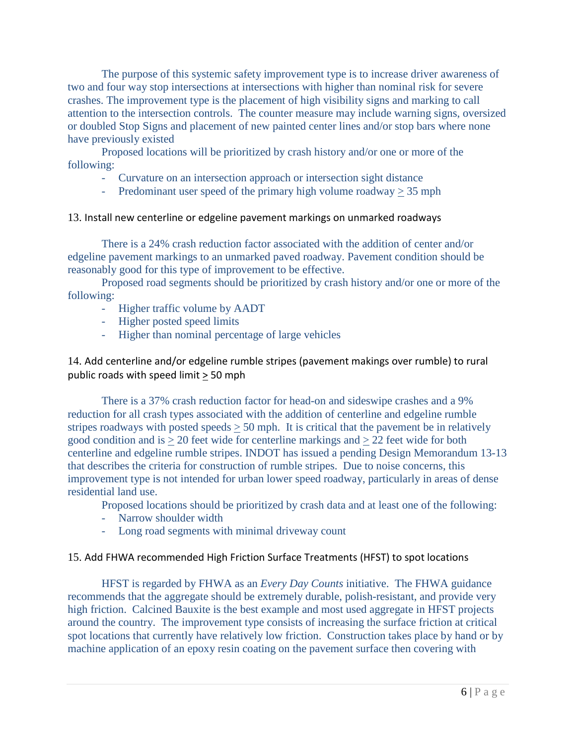The purpose of this systemic safety improvement type is to increase driver awareness of two and four way stop intersections at intersections with higher than nominal risk for severe crashes. The improvement type is the placement of high visibility signs and marking to call attention to the intersection controls. The counter measure may include warning signs, oversized or doubled Stop Signs and placement of new painted center lines and/or stop bars where none have previously existed

Proposed locations will be prioritized by crash history and/or one or more of the following:

- Curvature on an intersection approach or intersection sight distance
- Predominant user speed of the primary high volume roadway  $\geq$  35 mph

#### 13. Install new centerline or edgeline pavement markings on unmarked roadways

There is a 24% crash reduction factor associated with the addition of center and/or edgeline pavement markings to an unmarked paved roadway. Pavement condition should be reasonably good for this type of improvement to be effective.

Proposed road segments should be prioritized by crash history and/or one or more of the following:

- Higher traffic volume by AADT
- Higher posted speed limits
- Higher than nominal percentage of large vehicles

14. Add centerline and/or edgeline rumble stripes (pavement makings over rumble) to rural public roads with speed limit > 50 mph

There is a 37% crash reduction factor for head-on and sideswipe crashes and a 9% reduction for all crash types associated with the addition of centerline and edgeline rumble stripes roadways with posted speeds  $> 50$  mph. It is critical that the pavement be in relatively good condition and is > 20 feet wide for centerline markings and > 22 feet wide for both centerline and edgeline rumble stripes. INDOT has issued a pending Design Memorandum 13-13 that describes the criteria for construction of rumble stripes. Due to noise concerns, this improvement type is not intended for urban lower speed roadway, particularly in areas of dense residential land use.

Proposed locations should be prioritized by crash data and at least one of the following:

- Narrow shoulder width
- Long road segments with minimal driveway count

#### 15. Add FHWA recommended High Friction Surface Treatments (HFST) to spot locations

HFST is regarded by FHWA as an *Every Day Counts* initiative. The FHWA guidance recommends that the aggregate should be extremely durable, polish-resistant, and provide very high friction. Calcined Bauxite is the best example and most used aggregate in HFST projects around the country. The improvement type consists of increasing the surface friction at critical spot locations that currently have relatively low friction. Construction takes place by hand or by machine application of an epoxy resin coating on the pavement surface then covering with